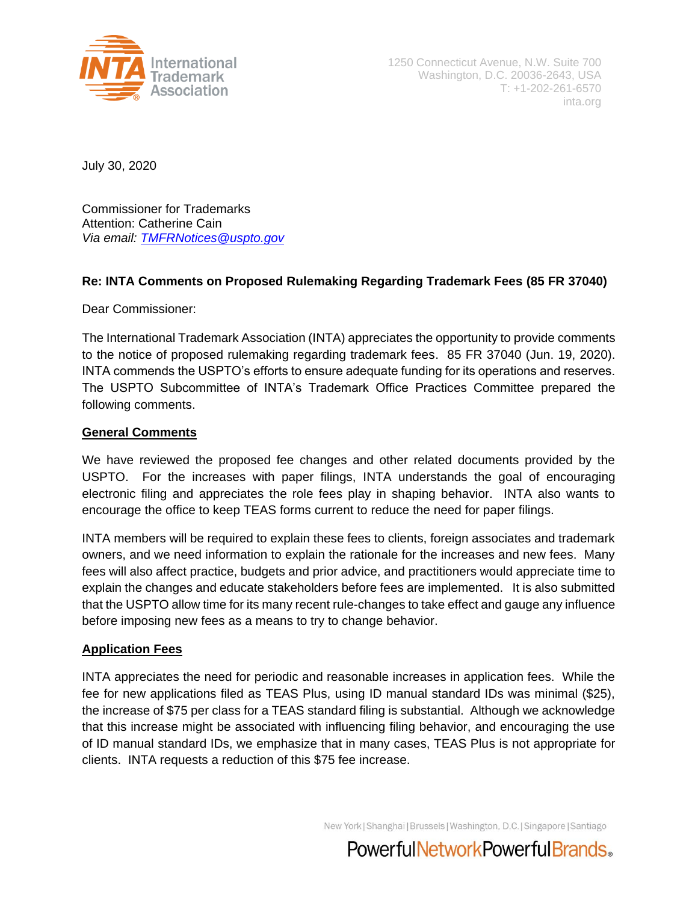

1250 Connecticut Avenue, N.W. Suite 700 Washington, D.C. 20036-2643, USA T: +1-202-261-6570 inta.org

July 30, 2020

Commissioner for Trademarks Attention: Catherine Cain *Via email: [TMFRNotices@uspto.gov](mailto:TMFRNotices@uspto.gov)*

# **Re: INTA Comments on Proposed Rulemaking Regarding Trademark Fees (85 FR 37040)**

Dear Commissioner:

The International Trademark Association (INTA) appreciates the opportunity to provide comments to the notice of proposed rulemaking regarding trademark fees. 85 FR 37040 (Jun. 19, 2020). INTA commends the USPTO's efforts to ensure adequate funding for its operations and reserves. The USPTO Subcommittee of INTA's Trademark Office Practices Committee prepared the following comments.

# **General Comments**

We have reviewed the proposed fee changes and other related documents provided by the USPTO. For the increases with paper filings, INTA understands the goal of encouraging electronic filing and appreciates the role fees play in shaping behavior. INTA also wants to encourage the office to keep TEAS forms current to reduce the need for paper filings.

INTA members will be required to explain these fees to clients, foreign associates and trademark owners, and we need information to explain the rationale for the increases and new fees. Many fees will also affect practice, budgets and prior advice, and practitioners would appreciate time to explain the changes and educate stakeholders before fees are implemented. It is also submitted that the USPTO allow time for its many recent rule-changes to take effect and gauge any influence before imposing new fees as a means to try to change behavior.

# **Application Fees**

INTA appreciates the need for periodic and reasonable increases in application fees. While the fee for new applications filed as TEAS Plus, using ID manual standard IDs was minimal (\$25), the increase of \$75 per class for a TEAS standard filing is substantial. Although we acknowledge that this increase might be associated with influencing filing behavior, and encouraging the use of ID manual standard IDs, we emphasize that in many cases, TEAS Plus is not appropriate for clients. INTA requests a reduction of this \$75 fee increase.

New York | Shanghai | Brussels | Washington, D.C. | Singapore | Santiago

PowerfulNetworkPowerfulBrands.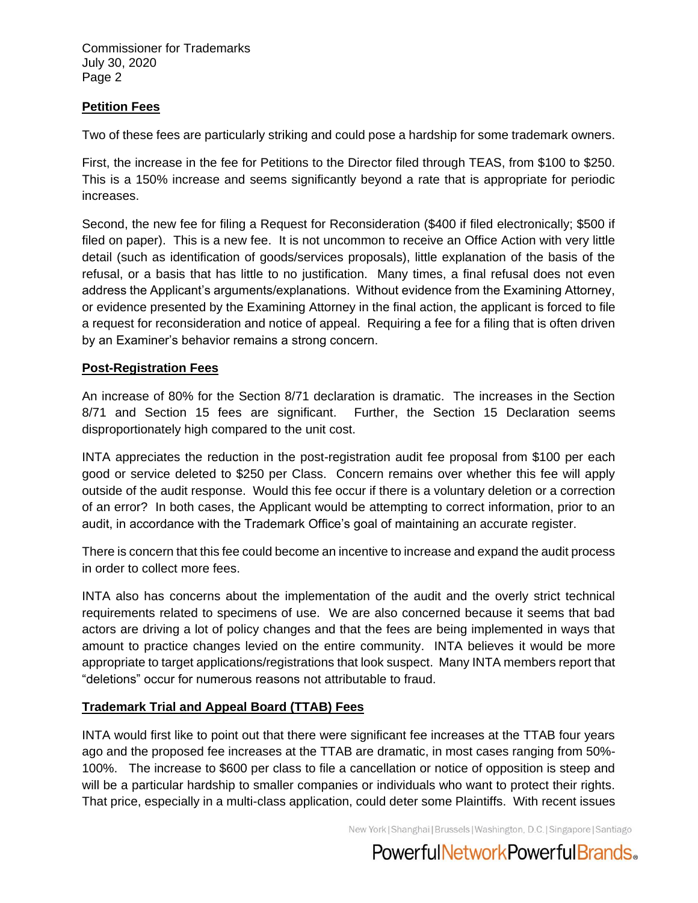Commissioner for Trademarks July 30, 2020 Page 2

# **Petition Fees**

Two of these fees are particularly striking and could pose a hardship for some trademark owners.

First, the increase in the fee for Petitions to the Director filed through TEAS, from \$100 to \$250. This is a 150% increase and seems significantly beyond a rate that is appropriate for periodic increases.

Second, the new fee for filing a Request for Reconsideration (\$400 if filed electronically; \$500 if filed on paper). This is a new fee. It is not uncommon to receive an Office Action with very little detail (such as identification of goods/services proposals), little explanation of the basis of the refusal, or a basis that has little to no justification. Many times, a final refusal does not even address the Applicant's arguments/explanations. Without evidence from the Examining Attorney, or evidence presented by the Examining Attorney in the final action, the applicant is forced to file a request for reconsideration and notice of appeal. Requiring a fee for a filing that is often driven by an Examiner's behavior remains a strong concern.

### **Post-Registration Fees**

An increase of 80% for the Section 8/71 declaration is dramatic. The increases in the Section 8/71 and Section 15 fees are significant. Further, the Section 15 Declaration seems disproportionately high compared to the unit cost.

INTA appreciates the reduction in the post-registration audit fee proposal from \$100 per each good or service deleted to \$250 per Class. Concern remains over whether this fee will apply outside of the audit response. Would this fee occur if there is a voluntary deletion or a correction of an error? In both cases, the Applicant would be attempting to correct information, prior to an audit, in accordance with the Trademark Office's goal of maintaining an accurate register.

There is concern that this fee could become an incentive to increase and expand the audit process in order to collect more fees.

INTA also has concerns about the implementation of the audit and the overly strict technical requirements related to specimens of use. We are also concerned because it seems that bad actors are driving a lot of policy changes and that the fees are being implemented in ways that amount to practice changes levied on the entire community. INTA believes it would be more appropriate to target applications/registrations that look suspect. Many INTA members report that "deletions" occur for numerous reasons not attributable to fraud.

# **Trademark Trial and Appeal Board (TTAB) Fees**

INTA would first like to point out that there were significant fee increases at the TTAB four years ago and the proposed fee increases at the TTAB are dramatic, in most cases ranging from 50%- 100%. The increase to \$600 per class to file a cancellation or notice of opposition is steep and will be a particular hardship to smaller companies or individuals who want to protect their rights. That price, especially in a multi-class application, could deter some Plaintiffs. With recent issues

New York | Shanghai | Brussels | Washington, D.C. | Singapore | Santiago